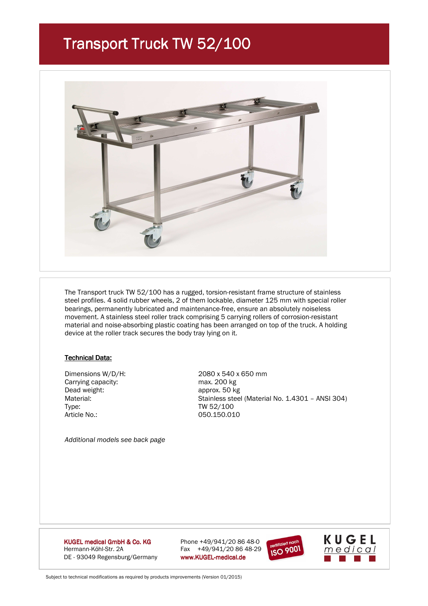### Transport Truck TW 52/100



 The Transport truck TW 52/100 has a rugged, torsion-resistant frame structure of stainless steel profiles. 4 solid rubber wheels, 2 of them lockable, diameter 125 mm with special roller bearings, permanently lubricated and maintenance-free, ensure an absolutely noiseless movement. A stainless steel roller track comprising 5 carrying rollers of corrosion-resistant material and noise-absorbing plastic coating has been arranged on top of the truck. A holding device at the roller track secures the body tray lying on it.

#### **Technical Data:**

Carrying capacity:<br>
Dead weight:<br>
Dead weight:<br>  $\frac{1}{2}$  capacity:<br>  $\frac{1}{2}$  capacity:<br>  $\frac{1}{2}$  capacity: Dead weight: <br>
Material: approx. 50 kg<br>
Material: Stainless stee Type: Type: TW 52/100 Article No.: 050.150.010

 Dimensions W/D/H: 2080 x 540 x 650 mm Stainless steel (Material No. 1.4301 - ANSI 304)

*Additional models see back page* 

KUGEL medical GmbH & Co. KG Hermann-Köhl-Str. 2A Fax +49/941/20 86 48-29 DE - 93049 Regensburg/Germany www.KUGEL-medical.de

Phone  $+49/941/208648-0$